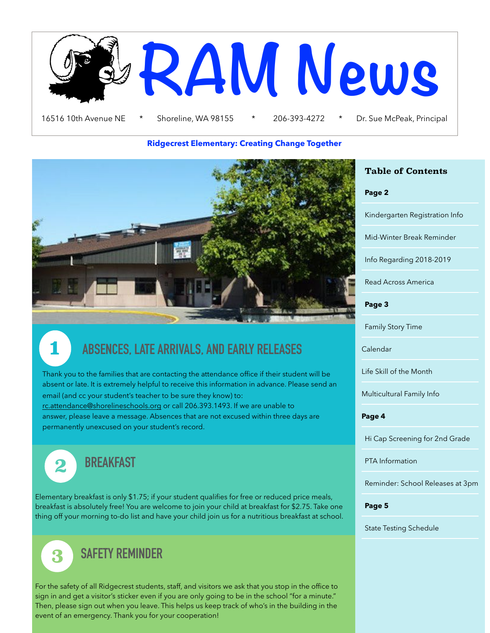

#### **Ridgecrest Elementary: Creating Change Together**



## **1 ABSENCES, LATE ARRIVALS, AND EARLY RELEASES**

Thank you to the families that are contacting the attendance office if their student will be absent or late. It is extremely helpful to receive this information in advance. Please send an email (and cc your student's teacher to be sure they know) to: [rc.attendance@shorelineschools.org](mailto:rc.attendance@shorelineschools.org) or call 206.393.1493. If we are unable to answer, please leave a message. Absences that are not excused within three days are permanently unexcused on your student's record.



**2 BREAKFAST**

Elementary breakfast is only \$1.75; if your student qualifies for free or reduced price meals, breakfast is absolutely free! You are welcome to join your child at breakfast for \$2.75. Take one thing off your morning to-do list and have your child join us for a nutritious breakfast at school.



For the safety of all Ridgecrest students, staff, and visitors we ask that you stop in the office to sign in and get a visitor's sticker even if you are only going to be in the school "for a minute." Then, please sign out when you leave. This helps us keep track of who's in the building in the event of an emergency. Thank you for your cooperation!

#### **Table of Contents**

**Page 2** 

Kindergarten Registration Info

Mid-Winter Break Reminder

Info Regarding 2018-2019

Read Across America

**Page 3** 

Family Story Time

Calendar

Life Skill of the Month

Multicultural Family Info

#### **Page 4**

Hi Cap Screening for 2nd Grade

PTA Information

Reminder: School Releases at 3pm

**Page 5** 

State Testing Schedule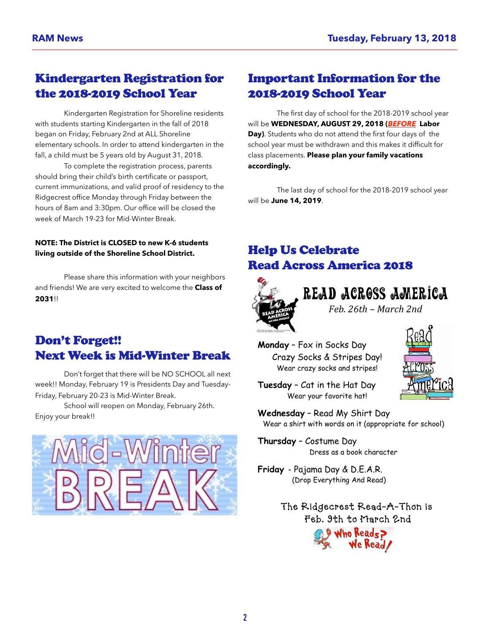#### Kindergarten Registration for the 2018-2019 School Year

 Kindergarten Registration for Shoreline residents with students starting Kindergarten in the fall of 2018 began on Friday, February 2nd at ALL Shoreline elementary schools. In order to attend kindergarten in the fall, a child must be 5 years old by August 31, 2018.

 To complete the registration process, parents should bring their child's birth certificate or passport, current immunizations, and valid proof of residency to the Ridgecrest office Monday through Friday between the hours of 8am and 3:30pm. Our office will be closed the week of March 19-23 for Mid-Winter Break.

#### **NOTE: The District is CLOSED to new K-6 students living outside of the Shoreline School District.**

 Please share this information with your neighbors and friends! We are very excited to welcome the **Class of 2031**!!

#### Don't Forget!! Next Week is Mid-Winter Break

 Don't forget that there will be NO SCHOOL all next week!! Monday, February 19 is Presidents Day and Tuesday-Friday, February 20-23 is Mid-Winter Break.

 School will reopen on Monday, February 26th. Enjoy your break!!



#### Important Information for the 2018-2019 School Year

 The first day of school for the 2018-2019 school year will be **WEDNESDAY, AUGUST 29, 2018 (***BEFORE* **Labor Day)**. Students who do not attend the first four days of the school year must be withdrawn and this makes it difficult for class placements. **Please plan your family vacations accordingly.**

 The last day of school for the 2018-2019 school year will be **June 14, 2019**.

### Help Us Celebrate Read Across America 2018



Read Across America

*Feb. 26th – March 2nd*

**Monday** – Fox in Socks Day Crazy Socks & Stripes Day! Wear crazy socks and stripes!



**Tuesday** – Cat in the Hat Day Wear your favorite hat!

**Wednesday** – Read My Shirt Day Wear a shirt with words on it (appropriate for school)

**Thursday** – Costume Day Dress as a book character

**Friday** - Pajama Day & D.E.A.R. (Drop Everything And Read)

> The Ridgecrest Read-A-Thon is Feb. 9th to March 2nd Who Reads?<br>We Read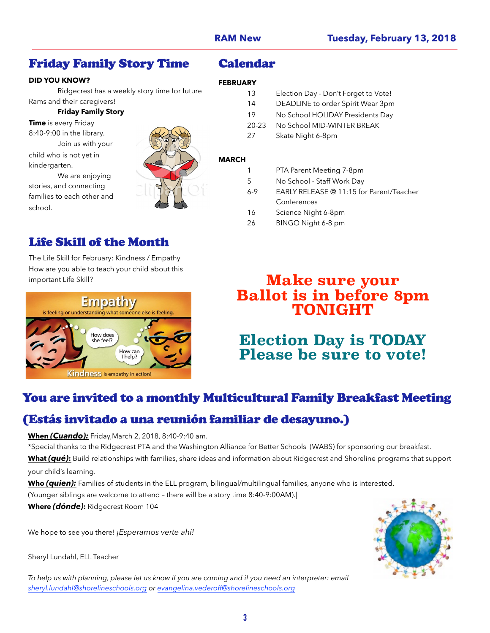**FEBRUARY**

**MARCH**

Calendar

#### Friday Family Story Time

#### **DID YOU KNOW?**

 Ridgecrest has a weekly story time for future Rams and their caregivers!

#### **Friday Family Story**

**Time** is every Friday 8:40-9:00 in the library. Join us with your child who is not yet in kindergarten.

 We are enjoying stories, and connecting families to each other and school.



else is feeling

#### Life Skill of the Month

The Life Skill for February: Kindness / Empathy How are you able to teach your child about this

**Empathy** 

Kindness is empathy in action!

How does<br>she feel?

is feeling or understanding what some

**Ballot is in before 8pm TONIGHT**

6-9 EARLY RELEASE @ 11:15 for Parent/Teacher

### **Election Day is TODAY Please be sure to vote!**

#### You are invited to a monthly Multicultural Family Breakfast Meeting

#### (Estás invitado a una reunión familiar de desayuno.)

**When** *(Cuando):* Friday,March 2, 2018, 8:40-9:40 am.

How can I help?

\*Special thanks to the Ridgecrest PTA and the Washington Alliance for Better Schools (WABS) for sponsoring our breakfast.

**What** *(qué)***:** Build relationships with families, share ideas and information about Ridgecrest and Shoreline programs that support your child's learning.

**Who** *(quien):* Families of students in the ELL program, bilingual/multilingual families, anyone who is interested. (Younger siblings are welcome to attend – there will be a story time 8:40-9:00AM).|

**Where** *(dónde)***:** Ridgecrest Room 104

We hope to see you there! *¡Esperamos verte ahí!* 

Sheryl Lundahl, ELL Teacher

*To help us with planning, please let us know if you are coming and if you need an interpreter: email [sheryl.lundahl@shorelineschools.org](mailto:sheryl.lundahl@shorelineschools.org) or [evangelina.vederoff@shorelineschools.org](mailto:evangelina.vederoff@shorelineschools.org)*



# **Make sure your**

 13 Election Day - Don't Forget to Vote! 14 DEADLINE to order Spirit Wear 3pm 19 No School HOLIDAY Presidents Day 20-23 No School MID-WINTER BREAK

27 Skate Night 6-8pm

1 PTA Parent Meeting 7-8pm 5 No School - Staff Work Day

 Conferences 16 Science Night 6-8pm 26 BINGO Night 6-8 pm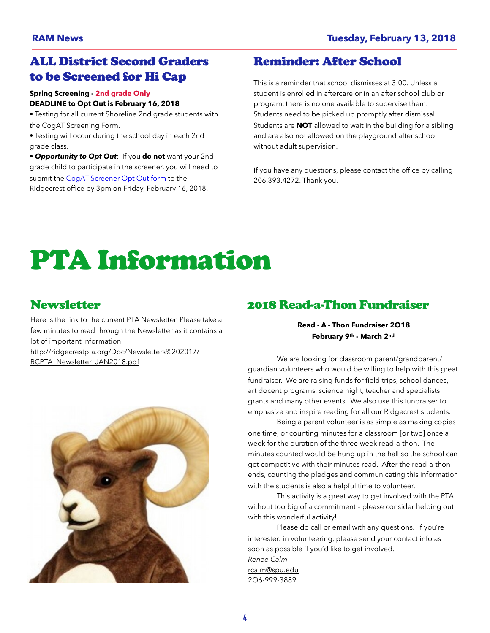#### ALL District Second Graders to be Screened for Hi Cap

#### **Spring Screening - 2nd grade Only**

#### **DEADLINE to Opt Out is February 16, 2018**

• Testing for all current Shoreline 2nd grade students with the CogAT Screening Form.

• Testing will occur during the school day in each 2nd grade class.

• *Opportunity to Opt Out*: If you **do not** want your 2nd grade child to participate in the screener, you will need to submit the [CogAT Screener Opt Out form](https://docs.google.com/document/d/17pA4CcmvIkJ9C2c-Ct5VJsyOS3U0qK_dhMFYoCSKXXY/edit?usp=sharing) to the Ridgecrest office by 3pm on Friday, February 16, 2018.

#### Reminder: After School

This is a reminder that school dismisses at 3:00. Unless a student is enrolled in aftercare or in an after school club or program, there is no one available to supervise them. Students need to be picked up promptly after dismissal. Students are **NOT** allowed to wait in the building for a sibling and are also not allowed on the playground after school without adult supervision.

If you have any questions, please contact the office by calling 206.393.4272. Thank you.

## PTA Information

#### **Newsletter**

Here is the link to the current PTA Newsletter. Please take a few minutes to read through the Newsletter as it contains a lot of important information:

[http://ridgecrestpta.org/Doc/Newsletters%202017/](http://ridgecrestpta.org/Doc/Newsletters%202017/RCPTA_Newsletter_JAN2018.pdf) [RCPTA\\_Newsletter\\_JAN2018.pdf](http://ridgecrestpta.org/Doc/Newsletters%202017/RCPTA_Newsletter_JAN2018.pdf)



#### 2018 Read-a-Thon Fundraiser

#### **Read - A - Thon Fundraiser 2O18 February 9th - March 2nd**

We are looking for classroom parent/grandparent/ guardian volunteers who would be willing to help with this great fundraiser. We are raising funds for field trips, school dances, art docent programs, science night, teacher and specialists grants and many other events. We also use this fundraiser to emphasize and inspire reading for all our Ridgecrest students.

 Being a parent volunteer is as simple as making copies one time, or counting minutes for a classroom [or two] once a week for the duration of the three week read-a-thon. The minutes counted would be hung up in the hall so the school can get competitive with their minutes read. After the read-a-thon ends, counting the pledges and communicating this information with the students is also a helpful time to volunteer.

 This activity is a great way to get involved with the PTA without too big of a commitment – please consider helping out with this wonderful activity!

 Please do call or email with any questions. If you're interested in volunteering, please send your contact info as soon as possible if you'd like to get involved. *Renee Calm* [rcalm@spu.edu](mailto:rcalm@spu.edu) 2O6-999-3889